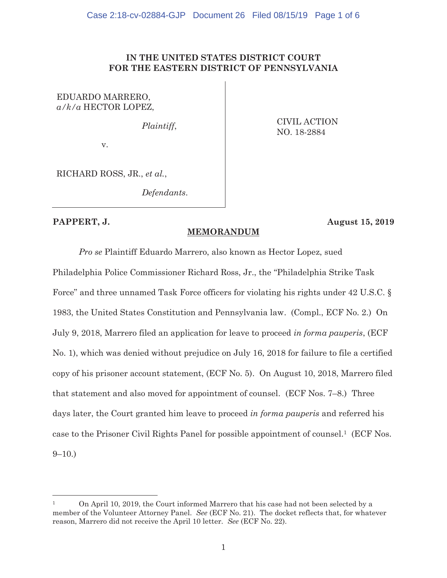### **IN THE UNITED STATES DISTRICT COURT FOR THE EASTERN DISTRICT OF PENNSYLVANIA**

# EDUARDO MARRERO, *a/k/a* HECTOR LOPEZ,

*Plaintiff*,

v.

CIVIL ACTION NO. 18-2884

RICHARD ROSS, JR., *et al.*,

*Defendants*.

 $\overline{a}$ 

### **PAPPERT, J. August 15, 2019**

## **MEMORANDUM**

*Pro se* Plaintiff Eduardo Marrero, also known as Hector Lopez, sued

Philadelphia Police Commissioner Richard Ross, Jr., the "Philadelphia Strike Task Force" and three unnamed Task Force officers for violating his rights under 42 U.S.C. § 1983, the United States Constitution and Pennsylvania law. (Compl., ECF No. 2.) On July 9, 2018, Marrero filed an application for leave to proceed *in forma pauperis*, (ECF No. 1), which was denied without prejudice on July 16, 2018 for failure to file a certified copy of his prisoner account statement, (ECF No. 5). On August 10, 2018, Marrero filed that statement and also moved for appointment of counsel. (ECF Nos. 7–8.) Three days later, the Court granted him leave to proceed *in forma pauperis* and referred his case to the Prisoner Civil Rights Panel for possible appointment of counsel.1 (ECF Nos.  $9-10.$ )

<sup>1</sup> On April 10, 2019, the Court informed Marrero that his case had not been selected by a member of the Volunteer Attorney Panel. *See* (ECF No. 21). The docket reflects that, for whatever reason, Marrero did not receive the April 10 letter. *See* (ECF No. 22).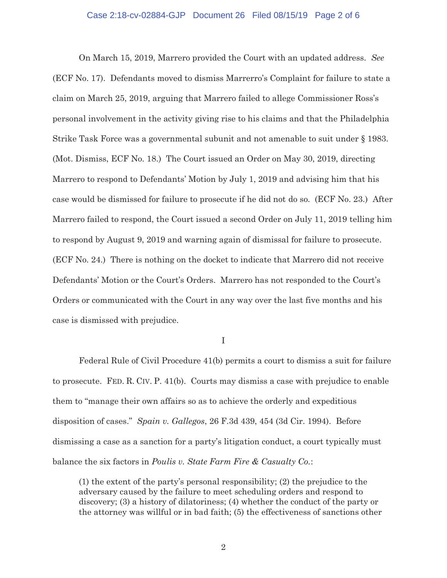#### Case 2:18-cv-02884-GJP Document 26 Filed 08/15/19 Page 2 of 6

On March 15, 2019, Marrero provided the Court with an updated address. *See* (ECF No. 17). Defendants moved to dismiss Marrerro's Complaint for failure to state a claim on March 25, 2019, arguing that Marrero failed to allege Commissioner Ross's personal involvement in the activity giving rise to his claims and that the Philadelphia Strike Task Force was a governmental subunit and not amenable to suit under § 1983. (Mot. Dismiss, ECF No. 18.) The Court issued an Order on May 30, 2019, directing Marrero to respond to Defendants' Motion by July 1, 2019 and advising him that his case would be dismissed for failure to prosecute if he did not do so. (ECF No. 23.) After Marrero failed to respond, the Court issued a second Order on July 11, 2019 telling him to respond by August 9, 2019 and warning again of dismissal for failure to prosecute. (ECF No. 24.) There is nothing on the docket to indicate that Marrero did not receive Defendants' Motion or the Court's Orders. Marrero has not responded to the Court's Orders or communicated with the Court in any way over the last five months and his case is dismissed with prejudice.

I

 Federal Rule of Civil Procedure 41(b) permits a court to dismiss a suit for failure to prosecute. FED. R. CIV. P. 41(b). Courts may dismiss a case with prejudice to enable them to "manage their own affairs so as to achieve the orderly and expeditious disposition of cases." *Spain v. Gallegos*, 26 F.3d 439, 454 (3d Cir. 1994). Before dismissing a case as a sanction for a party's litigation conduct, a court typically must balance the six factors in *Poulis v. State Farm Fire & Casualty Co.*:

 (1) the extent of the party's personal responsibility; (2) the prejudice to the adversary caused by the failure to meet scheduling orders and respond to discovery; (3) a history of dilatoriness; (4) whether the conduct of the party or the attorney was willful or in bad faith; (5) the effectiveness of sanctions other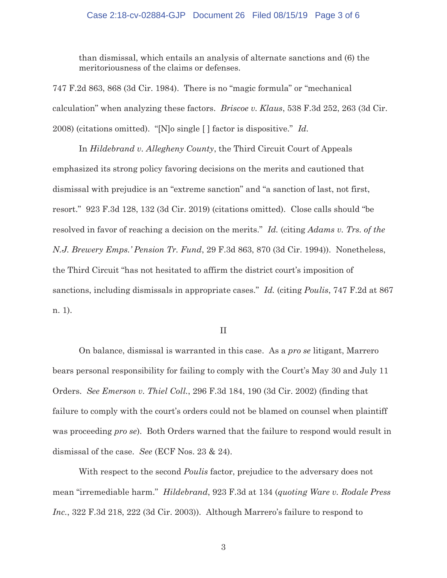# Case 2:18-cv-02884-GJP Document 26 Filed 08/15/19 Page 3 of 6

 than dismissal, which entails an analysis of alternate sanctions and (6) the meritoriousness of the claims or defenses.

747 F.2d 863, 868 (3d Cir. 1984). There is no "magic formula" or "mechanical calculation" when analyzing these factors. *Briscoe v. Klaus*, 538 F.3d 252, 263 (3d Cir. 2008) (citations omitted). "[N]o single [ ] factor is dispositive." *Id.*

In *Hildebrand v. Allegheny County*, the Third Circuit Court of Appeals emphasized its strong policy favoring decisions on the merits and cautioned that dismissal with prejudice is an "extreme sanction" and "a sanction of last, not first, resort." 923 F.3d 128, 132 (3d Cir. 2019) (citations omitted). Close calls should "be resolved in favor of reaching a decision on the merits." *Id.* (citing *Adams v. Trs. of the N.J. Brewery Emps.' Pension Tr. Fund*, 29 F.3d 863, 870 (3d Cir. 1994)). Nonetheless, the Third Circuit "has not hesitated to affirm the district court's imposition of sanctions, including dismissals in appropriate cases." *Id.* (citing *Poulis*, 747 F.2d at 867 n. 1).

II

 On balance, dismissal is warranted in this case. As a *pro se* litigant, Marrero bears personal responsibility for failing to comply with the Court's May 30 and July 11 Orders. *See Emerson v. Thiel Coll.*, 296 F.3d 184, 190 (3d Cir. 2002) (finding that failure to comply with the court's orders could not be blamed on counsel when plaintiff was proceeding *pro se*). Both Orders warned that the failure to respond would result in dismissal of the case. *See* (ECF Nos. 23 & 24).

With respect to the second *Poulis* factor, prejudice to the adversary does not mean "irremediable harm." *Hildebrand*, 923 F.3d at 134 (*quoting Ware v. Rodale Press Inc.*, 322 F.3d 218, 222 (3d Cir. 2003)). Although Marrero's failure to respond to

3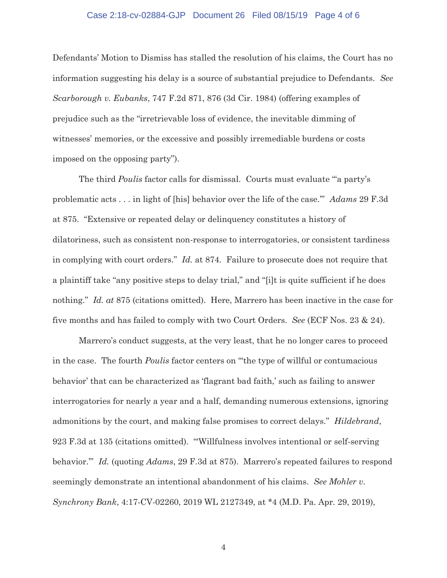#### Case 2:18-cv-02884-GJP Document 26 Filed 08/15/19 Page 4 of 6

Defendants' Motion to Dismiss has stalled the resolution of his claims, the Court has no information suggesting his delay is a source of substantial prejudice to Defendants. *See Scarborough v. Eubanks*, 747 F.2d 871, 876 (3d Cir. 1984) (offering examples of prejudice such as the "irretrievable loss of evidence, the inevitable dimming of witnesses' memories, or the excessive and possibly irremediable burdens or costs imposed on the opposing party").

The third *Poulis* factor calls for dismissal. Courts must evaluate "'a party's problematic acts . . . in light of [his] behavior over the life of the case.'" *Adams* 29 F.3d at 875. "Extensive or repeated delay or delinquency constitutes a history of dilatoriness, such as consistent non-response to interrogatories, or consistent tardiness in complying with court orders." *Id.* at 874. Failure to prosecute does not require that a plaintiff take "any positive steps to delay trial," and "[i]t is quite sufficient if he does nothing." *Id. at* 875 (citations omitted). Here, Marrero has been inactive in the case for five months and has failed to comply with two Court Orders. *See* (ECF Nos. 23 & 24).

Marrero's conduct suggests, at the very least, that he no longer cares to proceed in the case. The fourth *Poulis* factor centers on "'the type of willful or contumacious behavior' that can be characterized as 'flagrant bad faith,' such as failing to answer interrogatories for nearly a year and a half, demanding numerous extensions, ignoring admonitions by the court, and making false promises to correct delays." *Hildebrand*, 923 F.3d at 135 (citations omitted). "'Willfulness involves intentional or self-serving behavior.'" *Id.* (quoting *Adams*, 29 F.3d at 875). Marrero's repeated failures to respond seemingly demonstrate an intentional abandonment of his claims. *See Mohler v. Synchrony Bank*, 4:17-CV-02260, 2019 WL 2127349, at \*4 (M.D. Pa. Apr. 29, 2019),

4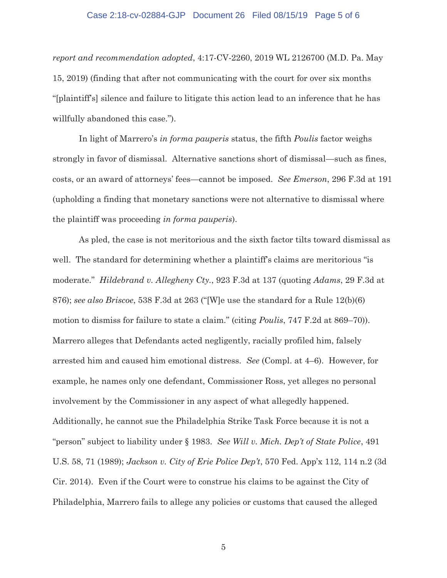# Case 2:18-cv-02884-GJP Document 26 Filed 08/15/19 Page 5 of 6

*report and recommendation adopted*, 4:17-CV-2260, 2019 WL 2126700 (M.D. Pa. May 15, 2019) (finding that after not communicating with the court for over six months "[plaintiff's] silence and failure to litigate this action lead to an inference that he has willfully abandoned this case.").

In light of Marrero's *in forma pauperis* status, the fifth *Poulis* factor weighs strongly in favor of dismissal. Alternative sanctions short of dismissal—such as fines, costs, or an award of attorneys' fees—cannot be imposed. *See Emerson*, 296 F.3d at 191 (upholding a finding that monetary sanctions were not alternative to dismissal where the plaintiff was proceeding *in forma pauperis*).

As pled, the case is not meritorious and the sixth factor tilts toward dismissal as well. The standard for determining whether a plaintiff's claims are meritorious "is moderate." *Hildebrand v. Allegheny Cty.*, 923 F.3d at 137 (quoting *Adams*, 29 F.3d at 876); *see also Briscoe*, 538 F.3d at 263 ("[W]e use the standard for a Rule 12(b)(6) motion to dismiss for failure to state a claim." (citing *Poulis*, 747 F.2d at 869–70)). Marrero alleges that Defendants acted negligently, racially profiled him, falsely arrested him and caused him emotional distress. *See* (Compl. at 4–6). However, for example, he names only one defendant, Commissioner Ross, yet alleges no personal involvement by the Commissioner in any aspect of what allegedly happened. Additionally, he cannot sue the Philadelphia Strike Task Force because it is not a "person" subject to liability under § 1983. *See Will v. Mich. Dep't of State Police*, 491 U.S. 58, 71 (1989); *Jackson v. City of Erie Police Dep't*, 570 Fed. App'x 112, 114 n.2 (3d Cir. 2014). Even if the Court were to construe his claims to be against the City of Philadelphia, Marrero fails to allege any policies or customs that caused the alleged

5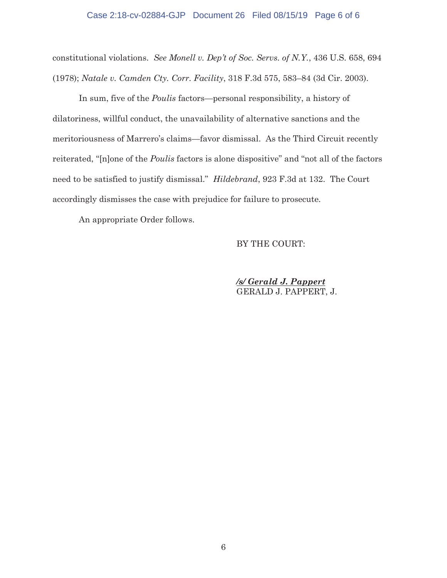# Case 2:18-cv-02884-GJP Document 26 Filed 08/15/19 Page 6 of 6

constitutional violations. *See Monell v. Dep't of Soc. Servs. of N.Y.*, 436 U.S. 658, 694 (1978); *Natale v. Camden Cty. Corr. Facility*, 318 F.3d 575, 583–84 (3d Cir. 2003).

In sum, five of the *Poulis* factors—personal responsibility, a history of dilatoriness, willful conduct, the unavailability of alternative sanctions and the meritoriousness of Marrero's claims—favor dismissal. As the Third Circuit recently reiterated, "[n]one of the *Poulis* factors is alone dispositive" and "not all of the factors need to be satisfied to justify dismissal." *Hildebrand*, 923 F.3d at 132. The Court accordingly dismisses the case with prejudice for failure to prosecute.

An appropriate Order follows.

#### BY THE COURT:

*/s/ Gerald J. Pappert*  GERALD J. PAPPERT, J.